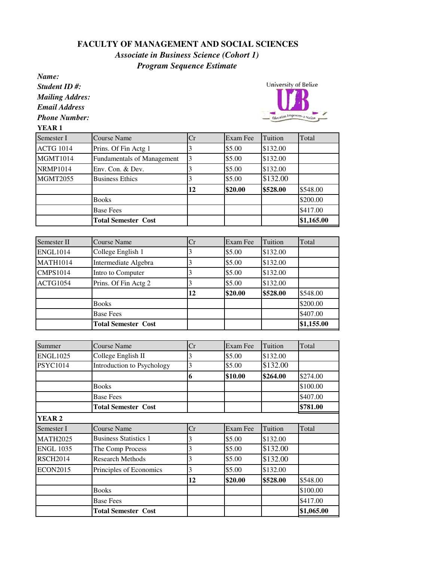## **FACULTY OF MANAGEMENT AND SOCIAL SCIENCES**

## *Associate in Business Science (Cohort 1) Program Sequence Estimate*

*Name: Student ID #: Mailing Addres:*

*Email Address*

*Phone Number:*

**YEAR 1**



| Semester I       | <b>Course Name</b>                | Cr | Exam Fee | Tuition  | Total      |
|------------------|-----------------------------------|----|----------|----------|------------|
| <b>ACTG 1014</b> | Prins. Of Fin Actg 1              |    | \$5.00   | \$132.00 |            |
| <b>MGMT1014</b>  | <b>Fundamentals of Management</b> | 3  | \$5.00   | \$132.00 |            |
| <b>NRMP1014</b>  | Env. Con. & Dev.                  |    | \$5.00   | \$132.00 |            |
| <b>MGMT2055</b>  | <b>Business Ethics</b>            |    | \$5.00   | \$132.00 |            |
|                  |                                   | 12 | \$20.00  | \$528.00 | \$548.00   |
|                  | <b>Books</b>                      |    |          |          | \$200.00   |
|                  | <b>Base Fees</b>                  |    |          |          | \$417.00   |
|                  | <b>Total Semester Cost</b>        |    |          |          | \$1,165.00 |

| Semester II     | Course Name                | Cr | Exam Fee | Tuition  | Total      |
|-----------------|----------------------------|----|----------|----------|------------|
| <b>ENGL1014</b> | College English 1          |    | \$5.00   | \$132.00 |            |
| <b>MATH1014</b> | Intermediate Algebra       |    | \$5.00   | \$132.00 |            |
| <b>CMPS1014</b> | Intro to Computer          |    | \$5.00   | \$132.00 |            |
| ACTG1054        | Prins. Of Fin Actg 2       |    | \$5.00   | \$132.00 |            |
|                 |                            | 12 | \$20.00  | \$528.00 | \$548.00   |
|                 | <b>Books</b>               |    |          |          | \$200.00   |
|                 | <b>Base Fees</b>           |    |          |          | \$407.00   |
|                 | <b>Total Semester Cost</b> |    |          |          | \$1,155.00 |

| Summer           | <b>Course Name</b>           | Cr | Exam Fee | Tuition  | Total      |
|------------------|------------------------------|----|----------|----------|------------|
| <b>ENGL1025</b>  | College English II           | 3  | \$5.00   | \$132.00 |            |
| <b>PSYC1014</b>  | Introduction to Psychology   | 3  | \$5.00   | \$132.00 |            |
|                  |                              | 6  | \$10.00  | \$264.00 | \$274.00   |
|                  | <b>Books</b>                 |    |          |          | \$100.00   |
|                  | <b>Base Fees</b>             |    |          |          | \$407.00   |
|                  | <b>Total Semester Cost</b>   |    |          |          | \$781.00   |
| <b>YEAR 2</b>    |                              |    |          |          |            |
| Semester I       | <b>Course Name</b>           | Cr | Exam Fee | Tuition  | Total      |
| <b>MATH2025</b>  | <b>Business Statistics 1</b> | 3  | \$5.00   | \$132.00 |            |
| <b>ENGL 1035</b> | The Comp Process             | 3  | \$5.00   | \$132.00 |            |
| <b>RSCH2014</b>  | <b>Research Methods</b>      | 3  | \$5.00   | \$132.00 |            |
| <b>ECON2015</b>  | Principles of Economics      | 3  | \$5.00   | \$132.00 |            |
|                  |                              | 12 | \$20.00  | \$528.00 | \$548.00   |
|                  | <b>Books</b>                 |    |          |          | \$100.00   |
|                  | <b>Base Fees</b>             |    |          |          | \$417.00   |
|                  | <b>Total Semester Cost</b>   |    |          |          | \$1,065.00 |